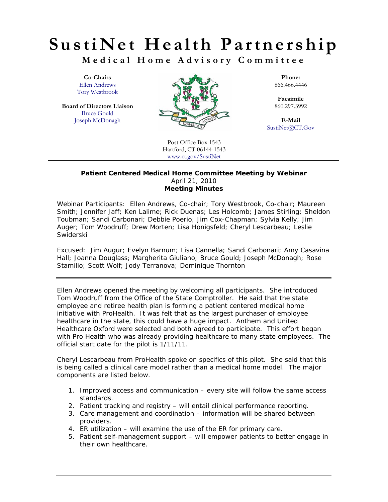## **SustiNet Health Partnership**

**Medical Home Advisory Committee** 

Tory Westbrook

**Board of Directors Liaison** Bruce Gould



**Facsimile**<br>860.297.3992

SustiNet@CT.Gov

Post Office Box 1543 Hartford, CT 06144-1543 www.ct.gov/SustiNet

## **Patient Centered Medical Home Committee Meeting by Webinar**  April 21, 2010 **Meeting Minutes**

Webinar Participants: *Ellen Andrews, Co-chair; Tory Westbrook, Co-chair; Maureen Smith; Jennifer Jaff; Ken Lalime; Rick Duenas; Les Holcomb; James Stirling; Sheldon Toubman; Sandi Carbonari; Debbie Poerio; Jim Cox-Chapman; Sylvia Kelly; Jim Auger; Tom Woodruff; Drew Morten; Lisa Honigsfeld; Cheryl Lescarbeau; Leslie Swiderski* 

Excused: *Jim Augur; Evelyn Barnum; Lisa Cannella; Sandi Carbonari; Amy Casavina Hall; Joanna Douglass; Margherita Giuliano; Bruce Gould; Joseph McDonagh; Rose Stamilio; Scott Wolf; Jody Terranova; Dominique Thornton* 

Ellen Andrews opened the meeting by welcoming all participants. She introduced Tom Woodruff from the Office of the State Comptroller. He said that the state employee and retiree health plan is forming a patient centered medical home initiative with ProHealth. It was felt that as the largest purchaser of employee healthcare in the state, this could have a huge impact. Anthem and United Healthcare Oxford were selected and both agreed to participate. This effort began with Pro Health who was already providing healthcare to many state employees. The official start date for the pilot is 1/11/11.

Cheryl Lescarbeau from ProHealth spoke on specifics of this pilot. She said that this is being called a clinical care model rather than a medical home model. The major components are listed below.

- 1. Improved access and communication every site will follow the same access standards.
- 2. Patient tracking and registry will entail clinical performance reporting.
- 3. Care management and coordination information will be shared between providers.
- 4. ER utilization will examine the use of the ER for primary care.
- 5. Patient self-management support will empower patients to better engage in their own healthcare.